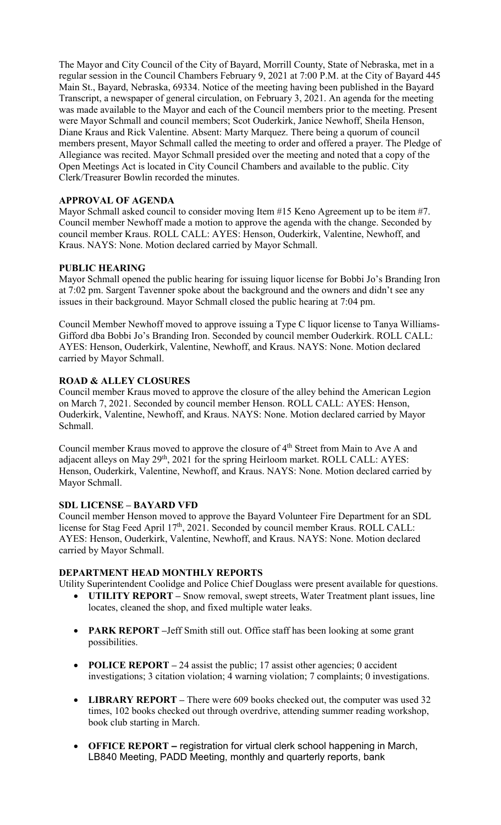The Mayor and City Council of the City of Bayard, Morrill County, State of Nebraska, met in a regular session in the Council Chambers February 9, 2021 at 7:00 P.M. at the City of Bayard 445 Main St., Bayard, Nebraska, 69334. Notice of the meeting having been published in the Bayard Transcript, a newspaper of general circulation, on February 3, 2021. An agenda for the meeting was made available to the Mayor and each of the Council members prior to the meeting. Present were Mayor Schmall and council members; Scot Ouderkirk, Janice Newhoff, Sheila Henson, Diane Kraus and Rick Valentine. Absent: Marty Marquez. There being a quorum of council members present, Mayor Schmall called the meeting to order and offered a prayer. The Pledge of Allegiance was recited. Mayor Schmall presided over the meeting and noted that a copy of the Open Meetings Act is located in City Council Chambers and available to the public. City Clerk/Treasurer Bowlin recorded the minutes.

# **APPROVAL OF AGENDA**

Mayor Schmall asked council to consider moving Item #15 Keno Agreement up to be item #7. Council member Newhoff made a motion to approve the agenda with the change. Seconded by council member Kraus. ROLL CALL: AYES: Henson, Ouderkirk, Valentine, Newhoff, and Kraus. NAYS: None. Motion declared carried by Mayor Schmall.

# **PUBLIC HEARING**

Mayor Schmall opened the public hearing for issuing liquor license for Bobbi Jo's Branding Iron at 7:02 pm. Sargent Tavenner spoke about the background and the owners and didn't see any issues in their background. Mayor Schmall closed the public hearing at 7:04 pm.

Council Member Newhoff moved to approve issuing a Type C liquor license to Tanya Williams-Gifford dba Bobbi Jo's Branding Iron. Seconded by council member Ouderkirk. ROLL CALL: AYES: Henson, Ouderkirk, Valentine, Newhoff, and Kraus. NAYS: None. Motion declared carried by Mayor Schmall.

## **ROAD & ALLEY CLOSURES**

Council member Kraus moved to approve the closure of the alley behind the American Legion on March 7, 2021. Seconded by council member Henson. ROLL CALL: AYES: Henson, Ouderkirk, Valentine, Newhoff, and Kraus. NAYS: None. Motion declared carried by Mayor Schmall.

Council member Kraus moved to approve the closure of 4<sup>th</sup> Street from Main to Ave A and adjacent alleys on May  $29<sup>th</sup>$ ,  $2021$  for the spring Heirloom market. ROLL CALL: AYES: Henson, Ouderkirk, Valentine, Newhoff, and Kraus. NAYS: None. Motion declared carried by Mayor Schmall.

## **SDL LICENSE – BAYARD VFD**

Council member Henson moved to approve the Bayard Volunteer Fire Department for an SDL license for Stag Feed April 17<sup>th</sup>, 2021. Seconded by council member Kraus. ROLL CALL: AYES: Henson, Ouderkirk, Valentine, Newhoff, and Kraus. NAYS: None. Motion declared carried by Mayor Schmall.

## **DEPARTMENT HEAD MONTHLY REPORTS**

Utility Superintendent Coolidge and Police Chief Douglass were present available for questions.

- **UTILITY REPORT** Snow removal, swept streets, Water Treatment plant issues, line locates, cleaned the shop, and fixed multiple water leaks.
- **PARK REPORT –**Jeff Smith still out. Office staff has been looking at some grant possibilities.
- **POLICE REPORT** 24 assist the public; 17 assist other agencies; 0 accident investigations; 3 citation violation; 4 warning violation; 7 complaints; 0 investigations.
- **LIBRARY REPORT** There were 609 books checked out, the computer was used 32 times, 102 books checked out through overdrive, attending summer reading workshop, book club starting in March.
- **OFFICE REPORT –** registration for virtual clerk school happening in March, LB840 Meeting, PADD Meeting, monthly and quarterly reports, bank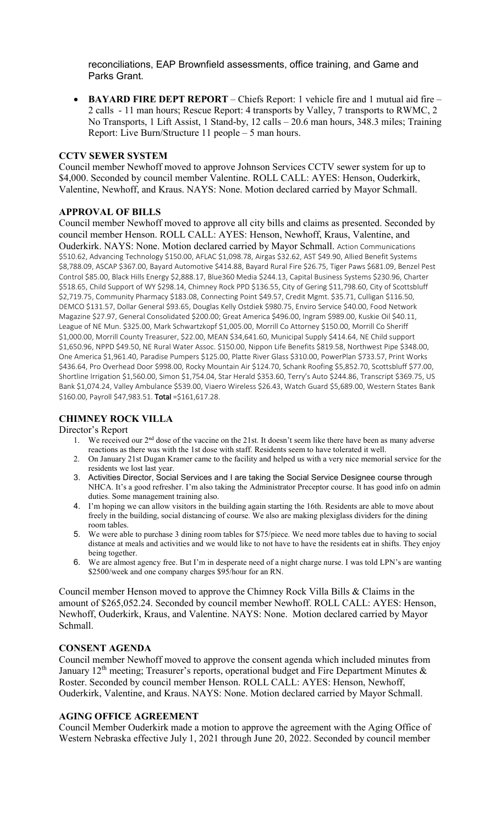reconciliations, EAP Brownfield assessments, office training, and Game and Parks Grant.

• **BAYARD FIRE DEPT REPORT** – Chiefs Report: 1 vehicle fire and 1 mutual aid fire – 2 calls - 11 man hours; Rescue Report: 4 transports by Valley, 7 transports to RWMC, 2 No Transports, 1 Lift Assist, 1 Stand-by, 12 calls – 20.6 man hours, 348.3 miles; Training Report: Live Burn/Structure 11 people – 5 man hours.

### **CCTV SEWER SYSTEM**

Council member Newhoff moved to approve Johnson Services CCTV sewer system for up to \$4,000. Seconded by council member Valentine. ROLL CALL: AYES: Henson, Ouderkirk, Valentine, Newhoff, and Kraus. NAYS: None. Motion declared carried by Mayor Schmall.

## **APPROVAL OF BILLS**

Council member Newhoff moved to approve all city bills and claims as presented. Seconded by council member Henson. ROLL CALL: AYES: Henson, Newhoff, Kraus, Valentine, and Ouderkirk. NAYS: None. Motion declared carried by Mayor Schmall. Action Communications \$510.62, Advancing Technology \$150.00, AFLAC \$1,098.78, Airgas \$32.62, AST \$49.90, Allied Benefit Systems \$8,788.09, ASCAP \$367.00, Bayard Automotive \$414.88, Bayard Rural Fire \$26.75, Tiger Paws \$681.09, Benzel Pest Control \$85.00, Black Hills Energy \$2,888.17, Blue360 Media \$244.13, Capital Business Systems \$230.96, Charter \$518.65, Child Support of WY \$298.14, Chimney Rock PPD \$136.55, City of Gering \$11,798.60, City of Scottsbluff \$2,719.75, Community Pharmacy \$183.08, Connecting Point \$49.57, Credit Mgmt. \$35.71, Culligan \$116.50, DEMCO \$131.57, Dollar General \$93.65, Douglas Kelly Ostdiek \$980.75, Enviro Service \$40.00, Food Network Magazine \$27.97, General Consolidated \$200.00; Great America \$496.00, Ingram \$989.00, Kuskie Oil \$40.11, League of NE Mun. \$325.00, Mark Schwartzkopf \$1,005.00, Morrill Co Attorney \$150.00, Morrill Co Sheriff \$1,000.00, Morrill County Treasurer, \$22.00, MEAN \$34,641.60, Municipal Supply \$414.64, NE Child support \$1,650.96, NPPD \$49.50, NE Rural Water Assoc. \$150.00, Nippon Life Benefits \$819.58, Northwest Pipe \$348.00, One America \$1,961.40, Paradise Pumpers \$125.00, Platte River Glass \$310.00, PowerPlan \$733.57, Print Works \$436.64, Pro Overhead Door \$998.00, Rocky Mountain Air \$124.70, Schank Roofing \$5,852.70, Scottsbluff \$77.00, Shortline Irrigation \$1,560.00, Simon \$1,754.04, Star Herald \$353.60, Terry's Auto \$244.86, Transcript \$369.75, US Bank \$1,074.24, Valley Ambulance \$539.00, Viaero Wireless \$26.43, Watch Guard \$5,689.00, Western States Bank \$160.00, Payroll \$47,983.51. Total =\$161,617.28.

# **CHIMNEY ROCK VILLA**

### Director's Report

- 1. We received our 2nd dose of the vaccine on the 21st. It doesn't seem like there have been as many adverse reactions as there was with the 1st dose with staff. Residents seem to have tolerated it well.
- 2. On January 21st Dugan Kramer came to the facility and helped us with a very nice memorial service for the residents we lost last year.
- 3. Activities Director, Social Services and I are taking the Social Service Designee course through NHCA. It's a good refresher. I'm also taking the Administrator Preceptor course. It has good info on admin duties. Some management training also.
- 4. I'm hoping we can allow visitors in the building again starting the 16th. Residents are able to move about freely in the building, social distancing of course. We also are making plexiglass dividers for the dining room tables.
- 5. We were able to purchase 3 dining room tables for \$75/piece. We need more tables due to having to social distance at meals and activities and we would like to not have to have the residents eat in shifts. They enjoy being together.
- 6. We are almost agency free. But I'm in desperate need of a night charge nurse. I was told LPN's are wanting \$2500/week and one company charges \$95/hour for an RN.

Council member Henson moved to approve the Chimney Rock Villa Bills & Claims in the amount of \$265,052.24. Seconded by council member Newhoff. ROLL CALL: AYES: Henson, Newhoff, Ouderkirk, Kraus, and Valentine. NAYS: None. Motion declared carried by Mayor Schmall.

### **CONSENT AGENDA**

Council member Newhoff moved to approve the consent agenda which included minutes from January 12<sup>th</sup> meeting; Treasurer's reports, operational budget and Fire Department Minutes  $\&$ Roster. Seconded by council member Henson. ROLL CALL: AYES: Henson, Newhoff, Ouderkirk, Valentine, and Kraus. NAYS: None. Motion declared carried by Mayor Schmall.

# **AGING OFFICE AGREEMENT**

Council Member Ouderkirk made a motion to approve the agreement with the Aging Office of Western Nebraska effective July 1, 2021 through June 20, 2022. Seconded by council member